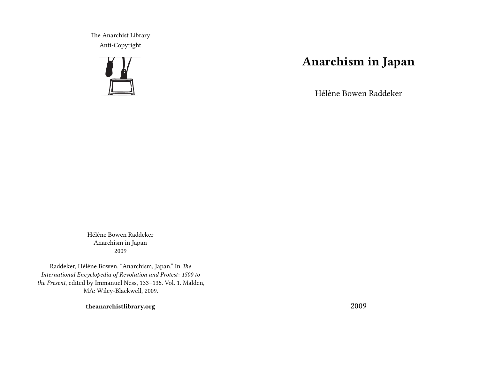The Anarchist Library Anti-Copyright



## **Anarchism in Japan**

Hélène Bowen Raddeker

Hélène Bowen Raddeker Anarchism in Japan 2009

Raddeker, Hélène Bowen. "Anarchism, Japan." In *The International Encyclopedia of Revolution and Protest*: *1500 to the Present*, edited by Immanuel Ness, 133–135. Vol. 1. Malden, MA: Wiley-Blackwell, 2009.

**theanarchistlibrary.org**

2009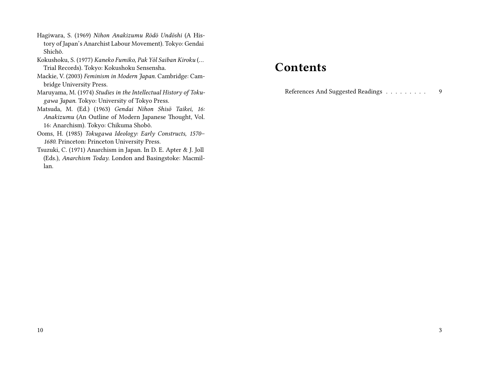- Hagiwara, S. (1969) *Nihon Anakizumu Rōdō Undōshi* (A History of Japan's Anarchist Labour Movement). Tokyo: Gendai Shichō.
- Kokushoku, S. (1977) *Kaneko Fumiko, Pak Yōl Saiban Kiroku* (… Trial Records). Tokyo: Kokushoku Sensensha.
- Mackie, V. (2003) *Feminism in Modern Japan*. Cambridge: Cambridge University Press.
- Maruyama, M. (1974) *Studies in the Intellectual History of Tokugawa Japan*. Tokyo: University of Tokyo Press.
- Matsuda, M. (Ed.) (1963) *Gendai Nihon Shisō Taikei, 16: Anakizumu* (An Outline of Modern Japanese Thought, Vol. 16: Anarchism). Tokyo: Chikuma Shobō.
- Ooms, H. (1985) *Tokugawa Ideology: Early Constructs, 1570– 1680*. Princeton: Princeton University Press.
- Tsuzuki, C. (1971) Anarchism in Japan. In D. E. Apter & J. Joll (Eds.), *Anarchism Today*. London and Basingstoke: Macmillan.

## **Contents**

References And Suggested Readings . . . . . . . . . 9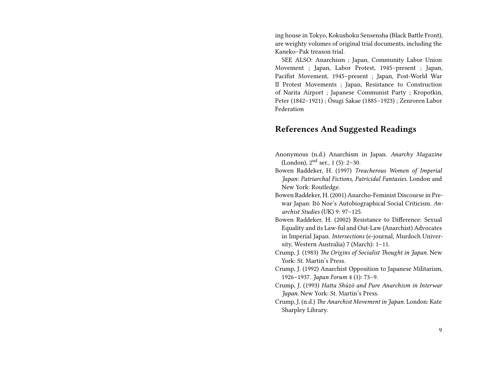ing house in Tokyo, Kokushoku Sensensha (Black Battle Front), are weighty volumes of original trial documents, including the Kaneko–Pak treason trial.

SEE ALSO: Anarchism ; Japan, Community Labor Union Movement ; Japan, Labor Protest, 1945–present ; Japan, Pacifist Movement, 1945–present ; Japan, Post-World War II Protest Movements ; Japan, Resistance to Construction of Narita Airport ; Japanese Communist Party ; Kropotkin, Peter (1842–1921) ; Ōsugi Sakae (1885–1923) ; Zenroren Labor Federation

## **References And Suggested Readings**

- Anonymous (n.d.) Anarchism in Japan. *Anarchy Magazine* (London),  $2^{nd}$  ser., 1 (5): 2–30.
- Bowen Raddeker, H. (1997) *Treacherous Women of Imperial Japan: Patriarchal Fictions, Patricidal Fantasies*. London and New York: Routledge.
- Bowen Raddeker, H. (2001) Anarcho-Feminist Discourse in Prewar Japan: Itō Noe's Autobiographical Social Criticism. *Anarchist Studies* (UK) 9: 97–125.
- Bowen Raddeker, H. (2002) Resistance to Difference: Sexual Equality and its Law-ful and Out-Law (Anarchist) Advocates in Imperial Japan. *Intersections* (e-journal, Murdoch University, Western Australia) 7 (March): 1–11.
- Crump, J. (1983) *The Origins of Socialist Thought in Japan*. New York: St. Martin's Press.
- Crump, J. (1992) Anarchist Opposition to Japanese Militarism, 1926–1937. *Japan Forum* 4 (1): 73–9.
- Crump, J. (1993) *Hatta Shūzō and Pure Anarchism in Interwar Japan*. New York: St. Martin's Press.
- Crump, J. (n.d.) *The Anarchist Movement in Japan*. London: Kate Sharpley Library.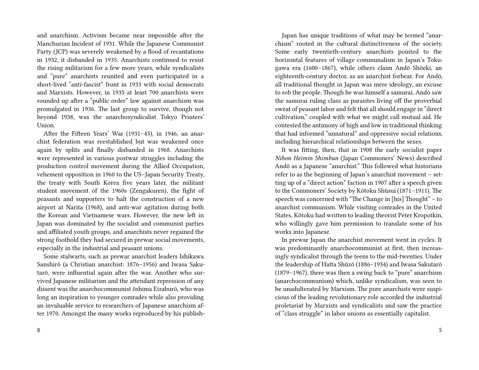and anarchism. Activism became near impossible after the Manchurian Incident of 1931. While the Japanese Communist Party (JCP) was severely weakened by a flood of recantations in 1932, it disbanded in 1935. Anarchists continued to resist the rising militarism for a few more years, while syndicalists and "pure" anarchists reunited and even participated in a short-lived "anti-fascist" front in 1933 with social democrats and Marxists. However, in 1935 at least 700 anarchists were rounded up after a "public order" law against anarchism was promulgated in 1936. The last group to survive, though not beyond 1938, was the anarchosyndicalist Tokyo Printers' Union.

After the Fifteen Years' War (1931–45), in 1946, an anarchist federation was reestablished but was weakened once again by splits and finally disbanded in 1968. Anarchists were represented in various postwar struggles including the production control movement during the Allied Occupation, vehement opposition in 1960 to the US–Japan Security Treaty, the treaty with South Korea five years later, the militant student movement of the 1960s (Zengakuren), the fight of peasants and supporters to halt the construction of a new airport at Narita (1968), and anti-war agitation during both the Korean and Vietnamese wars. However, the new left in Japan was dominated by the socialist and communist parties and affiliated youth groups, and anarchists never regained the strong foothold they had secured in prewar social movements, especially in the industrial and peasant unions.

Some stalwarts, such as prewar anarchist leaders Ishikawa Sanshirō (a Christian anarchist: 1876–1956) and Iwasa Sakutarō, were influential again after the war. Another who survived Japanese militarism and the attendant repression of any dissent was the anarchocommunist ōshima Eizaburō, who was long an inspiration to younger comrades while also providing an invaluable service to researchers of Japanese anarchism after 1970. Amongst the many works reproduced by his publish-

8

Japan has unique traditions of what may be termed "anarchism" rooted in the cultural distinctiveness of the society. Some early twentieth-century anarchists pointed to the horizontal features of village communalism in Japan's Tokugawa era (1600–1867), while others claim Andō Shōeki, an eighteenth-century doctor, as an anarchist forbear. For Andō, all traditional thought in Japan was mere ideology, an excuse to rob the people. Though he was himself a samurai, Andō saw the samurai ruling class as parasites living off the proverbial sweat of peasant labor and felt that all should engage in "direct cultivation," coupled with what we might call mutual aid. He contested the antimony of high and low in traditional thinking that had informed "unnatural" and oppressive social relations, including hierarchical relationships between the sexes.

It was fitting, then, that in 1908 the early socialist paper *Nihon Heimin Shimbun* (Japan Commoners' News) described Andō as a Japanese "anarchist." This followed what historians refer to as the beginning of Japan's anarchist movement – setting up of a "direct action" faction in 1907 after a speech given to the Commoners' Society by Kōtoku Shūsui (1871–1911). The speech was concerned with "The Change in [his] Thought" – to anarchist communism. While visiting comrades in the United States, Kōtoku had written to leading theorist Peter Kropotkin, who willingly gave him permission to translate some of his works into Japanese.

In prewar Japan the anarchist movement went in cycles. It was predominantly anarchocommunist at first, then increasingly syndicalist through the teens to the mid-twenties. Under the leadership of Hatta Shūzō (1886–1934) and Iwasa Sakutarō (1879–1967), there was then a swing back to "pure" anarchism (anarchocommunism) which, unlike syndicalism, was seen to be unadulterated by Marxism. The pure anarchists were suspicious of the leading revolutionary role accorded the industrial proletariat by Marxists and syndicalists and saw the practice of "class struggle" in labor unions as essentially capitalist.